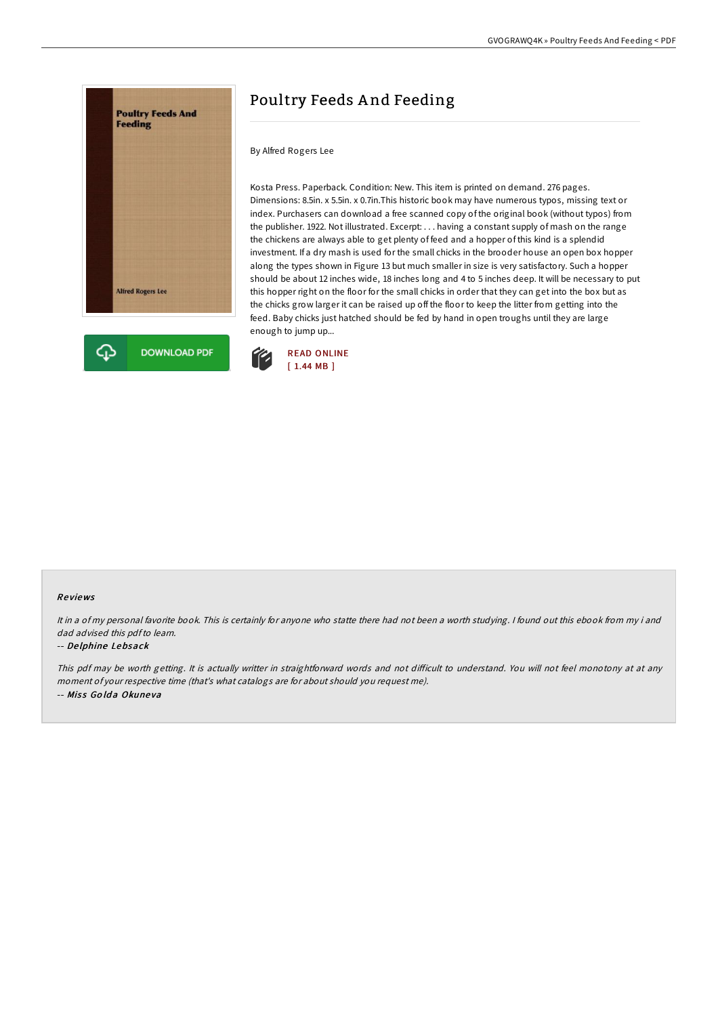

# Poultry Feeds A nd Feeding

By Alfred Rogers Lee

Kosta Press. Paperback. Condition: New. This item is printed on demand. 276 pages. Dimensions: 8.5in. x 5.5in. x 0.7in.This historic book may have numerous typos, missing text or index. Purchasers can download a free scanned copy of the original book (without typos) from the publisher. 1922. Not illustrated. Excerpt: . . . having a constant supply of mash on the range the chickens are always able to get plenty of feed and a hopper of this kind is a splendid investment. If a dry mash is used for the small chicks in the brooder house an open box hopper along the types shown in Figure 13 but much smaller in size is very satisfactory. Such a hopper should be about 12 inches wide, 18 inches long and 4 to 5 inches deep. It will be necessary to put this hopper right on the floor for the small chicks in order that they can get into the box but as the chicks grow larger it can be raised up off the floor to keep the litter from getting into the feed. Baby chicks just hatched should be fed by hand in open troughs until they are large enough to jump up...



### Re views

It in <sup>a</sup> of my personal favorite book. This is certainly for anyone who statte there had not been <sup>a</sup> worth studying. <sup>I</sup> found out this ebook from my i and dad advised this pdfto learn.

#### -- De lphine Lebsack

This pdf may be worth getting. It is actually writter in straightforward words and not difficult to understand. You will not feel monotony at at any moment of your respective time (that's what catalogs are for about should you request me). -- Miss Golda Okuneva